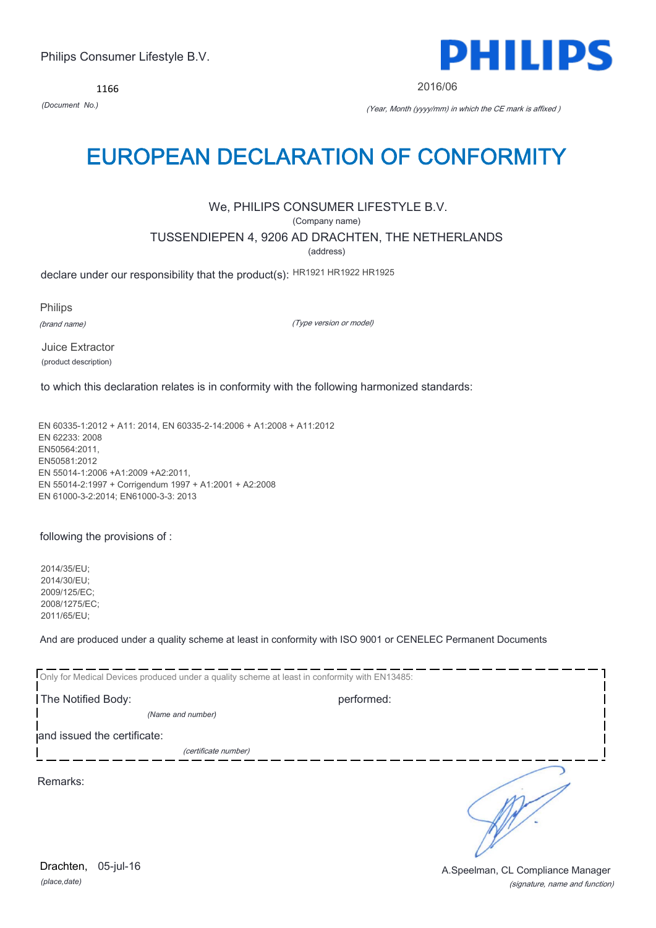1166



2016/06

*(Document No.)* (Year, Month (yyyy/mm) in which the CE mark is affixed )

## EUROPEAN DECLARATION OF CONFORMITY

## We, PHILIPS CONSUMER LIFESTYLE B.V.

(Company name)

TUSSENDIEPEN 4, 9206 AD DRACHTEN, THE NETHERLANDS

(address)

declare under our responsibility that the product(s): HR1921 HR1922 HR1925

Philips

(brand name)

(Type version or model)

Juice Extractor (product description)

to which this declaration relates is in conformity with the following harmonized standards:

EN 60335-1:2012 + A11: 2014, EN 60335-2-14:2006 + A1:2008 + A11:2012 EN 62233: 2008 EN50564:2011, EN50581:2012 EN 55014-1:2006 +A1:2009 +A2:2011, EN 55014-2:1997 + Corrigendum 1997 + A1:2001 + A2:2008 EN 61000-3-2:2014; EN61000-3-3: 2013

following the provisions of :

2014/35/EU; 2014/30/EU; 2009/125/EC; 2008/1275/EC; 2011/65/EU;

And are produced under a quality scheme at least in conformity with ISO 9001 or CENELEC Permanent Documents

| Only for Medical Devices produced under a quality scheme at least in conformity with EN13485: |                      |  |  |
|-----------------------------------------------------------------------------------------------|----------------------|--|--|
| The Notified Body:                                                                            | performed:           |  |  |
| (Name and number)                                                                             |                      |  |  |
| and issued the certificate:                                                                   |                      |  |  |
|                                                                                               | (certificate number) |  |  |
| Remarks:                                                                                      |                      |  |  |

*(place,date)* Drachten, 05-jul-16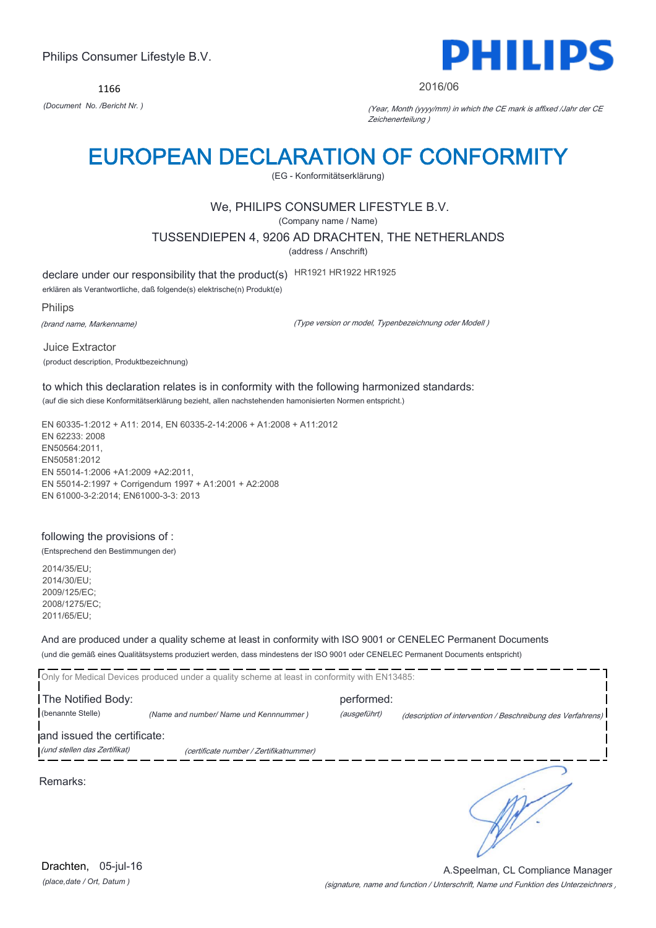1166



#### 2016/06

*(Document No. /Bericht Nr. )* (Year, Month (yyyy/mm) in which the CE mark is affixed /Jahr der CE Zeichenerteilung )

# EUROPEAN DECLARATION OF CONFORMITY

(EG - Konformitätserklärung)

## We, PHILIPS CONSUMER LIFESTYLE B.V.

(Company name / Name)

TUSSENDIEPEN 4, 9206 AD DRACHTEN, THE NETHERLANDS

(address / Anschrift)

declare under our responsibility that the product(s) HR1921 HR1922 HR1925 erklären als Verantwortliche, daß folgende(s) elektrische(n) Produkt(e)

Philips

(brand name, Markenname)

(Type version or model, Typenbezeichnung oder Modell )

Juice Extractor (product description, Produktbezeichnung)

to which this declaration relates is in conformity with the following harmonized standards: (auf die sich diese Konformitätserklärung bezieht, allen nachstehenden hamonisierten Normen entspricht.)

EN 60335-1:2012 + A11: 2014, EN 60335-2-14:2006 + A1:2008 + A11:2012 EN 62233: 2008 EN50564:2011, EN50581:2012 EN 55014-1:2006 +A1:2009 +A2:2011, EN 55014-2:1997 + Corrigendum 1997 + A1:2001 + A2:2008 EN 61000-3-2:2014; EN61000-3-3: 2013

## following the provisions of :

(Entsprechend den Bestimmungen der)

2014/35/EU; 2014/30/EU; 2009/125/EC; 2008/1275/EC; 2011/65/EU;

And are produced under a quality scheme at least in conformity with ISO 9001 or CENELEC Permanent Documents

(und die gemäß eines Qualitätsystems produziert werden, dass mindestens der ISO 9001 oder CENELEC Permanent Documents entspricht)

|                              | Only for Medical Devices produced under a quality scheme at least in conformity with EN13485: |              |                                                             |
|------------------------------|-----------------------------------------------------------------------------------------------|--------------|-------------------------------------------------------------|
| The Notified Body:           |                                                                                               | performed:   |                                                             |
| (benannte Stelle)            | (Name and number/ Name und Kennnummer)                                                        | (ausgeführt) | (description of intervention / Beschreibung des Verfahrens) |
| and issued the certificate:  |                                                                                               |              |                                                             |
| (und stellen das Zertifikat) | (certificate number / Zertifikatnummer)                                                       |              |                                                             |
|                              |                                                                                               |              |                                                             |

Remarks:

*(place,date / Ort, Datum )* Drachten, 05-jul-16

(signature, name and function / Unterschrift, Name und Funktion des Unterzeichners ) A.Speelman, CL Compliance Manager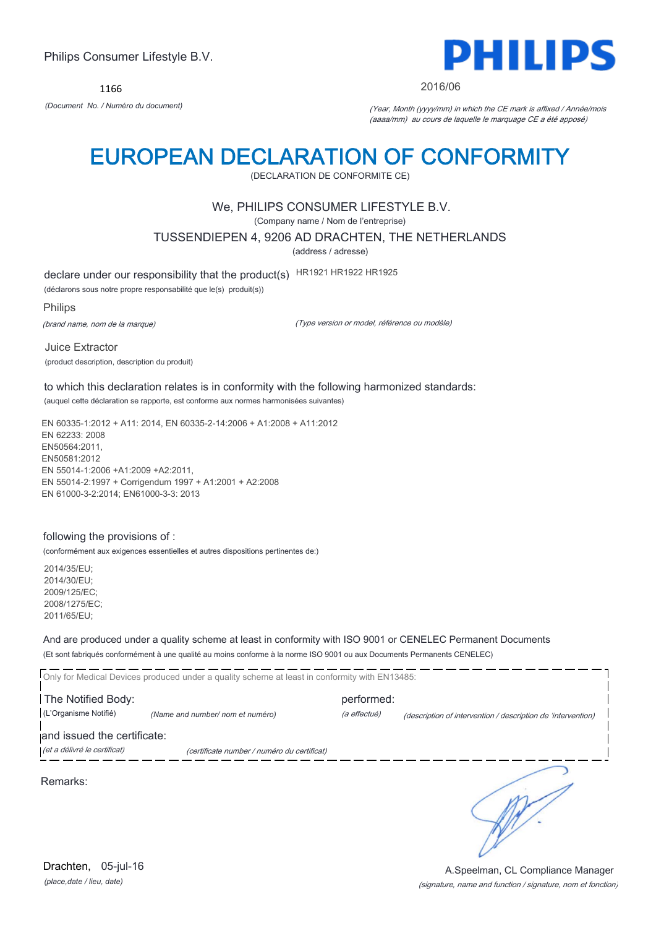1166



#### 2016/06

*(Document No. / Numéro du document)* (Year, Month (yyyy/mm) in which the CE mark is affixed / Année/mois (aaaa/mm) au cours de laquelle le marquage CE a été apposé)

## EUROPEAN DECLARATION OF CONFORMITY

(DECLARATION DE CONFORMITE CE)

## We, PHILIPS CONSUMER LIFESTYLE B.V.

(Company name / Nom de l'entreprise)

TUSSENDIEPEN 4, 9206 AD DRACHTEN, THE NETHERLANDS

(address / adresse)

declare under our responsibility that the product(s) HR1921 HR1922 HR1925

(déclarons sous notre propre responsabilité que le(s) produit(s))

Philips

(brand name, nom de la marque)

(Type version or model, référence ou modèle)

Juice Extractor (product description, description du produit)

to which this declaration relates is in conformity with the following harmonized standards: (auquel cette déclaration se rapporte, est conforme aux normes harmonisées suivantes)

EN 60335-1:2012 + A11: 2014, EN 60335-2-14:2006 + A1:2008 + A11:2012 EN 62233: 2008 EN50564:2011, EN50581:2012 EN 55014-1:2006 +A1:2009 +A2:2011, EN 55014-2:1997 + Corrigendum 1997 + A1:2001 + A2:2008 EN 61000-3-2:2014; EN61000-3-3: 2013

#### following the provisions of :

(conformément aux exigences essentielles et autres dispositions pertinentes de:)

2014/35/EU; 2014/30/EU; 2009/125/EC; 2008/1275/EC; 2011/65/EU;

And are produced under a quality scheme at least in conformity with ISO 9001 or CENELEC Permanent Documents

(Et sont fabriqués conformément à une qualité au moins conforme à la norme ISO 9001 ou aux Documents Permanents CENELEC)

Only for Medical Devices produced under a quality scheme at least in conformity with EN13485: The Notified Body: performed: (L'Organisme Notifié) *(Name and number/ nom et numéro)* (a effectué) (description of intervention / description de 'intervention) and issued the certificate: (et a délivré le certificat) (certificate number / numéro du certificat) ٦

Remarks:

*(place,date / lieu, date)* Drachten, 05-jul-16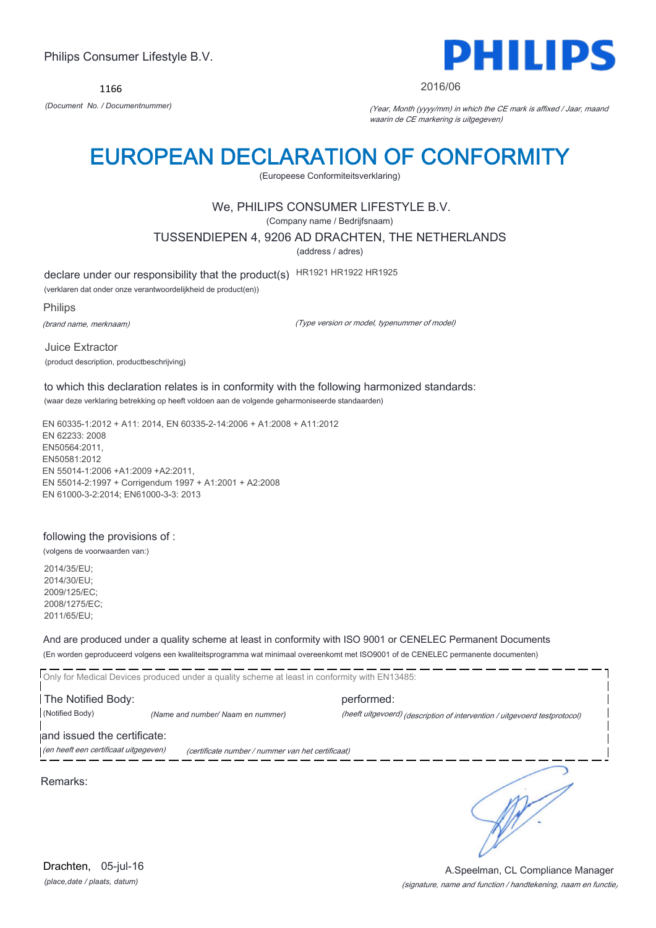1166



#### 2016/06

*(Document No. / Documentnummer)* (Year, Month (yyyy/mm) in which the CE mark is affixed / Jaar, maand waarin de CE markering is uitgegeven)

## EUROPEAN DECLARATION OF CONFORMITY

(Europeese Conformiteitsverklaring)

## We, PHILIPS CONSUMER LIFESTYLE B.V.

(Company name / Bedrijfsnaam)

TUSSENDIEPEN 4, 9206 AD DRACHTEN, THE NETHERLANDS

(address / adres)

declare under our responsibility that the product(s) HR1921 HR1922 HR1925

(verklaren dat onder onze verantwoordelijkheid de product(en))

Philips

(brand name, merknaam)

(Type version or model, typenummer of model)

Juice Extractor (product description, productbeschrijving)

to which this declaration relates is in conformity with the following harmonized standards: (waar deze verklaring betrekking op heeft voldoen aan de volgende geharmoniseerde standaarden)

EN 60335-1:2012 + A11: 2014, EN 60335-2-14:2006 + A1:2008 + A11:2012 EN 62233: 2008 EN50564:2011, EN50581:2012 EN 55014-1:2006 +A1:2009 +A2:2011, EN 55014-2:1997 + Corrigendum 1997 + A1:2001 + A2:2008 EN 61000-3-2:2014; EN61000-3-3: 2013

#### following the provisions of :

(volgens de voorwaarden van:)

2014/35/EU; 2014/30/EU; 2009/125/EC; 2008/1275/EC; 2011/65/EU;

And are produced under a quality scheme at least in conformity with ISO 9001 or CENELEC Permanent Documents

(En worden geproduceerd volgens een kwaliteitsprogramma wat minimaal overeenkomt met ISO9001 of de CENELEC permanente documenten)

Only for Medical Devices produced under a quality scheme at least in conformity with EN13485: The Notified Body: performed: (Notified Body) *(Name and number/ Naam en nummer)* (heeft uitgevoerd) (description of intervention / uitgevoerd testprotocol) and issued the certificate: (en heeft een certificaat uitgegeven) (certificate number / nummer van het certificaat)

Remarks:

٦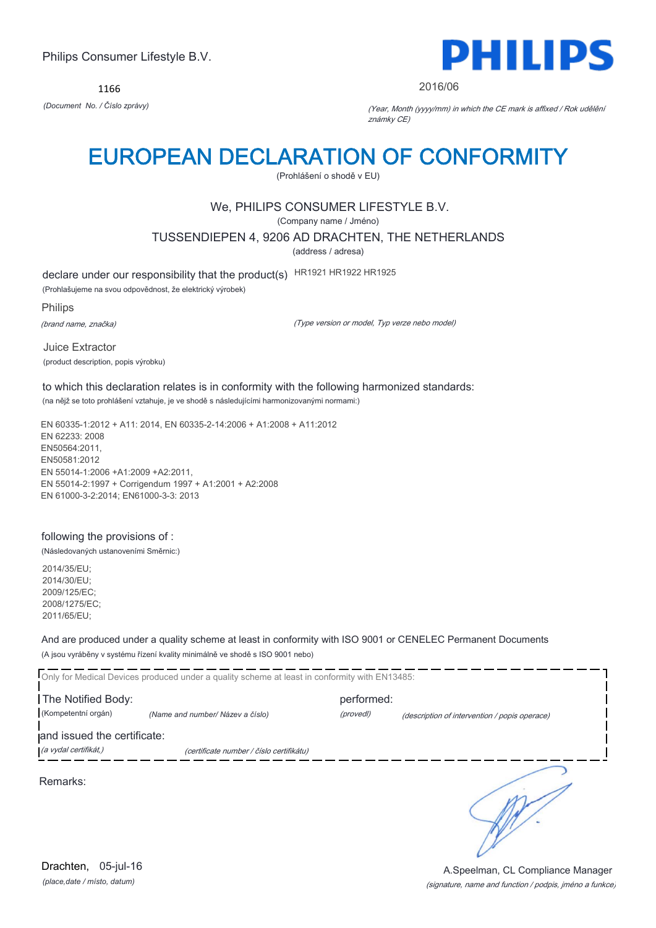1166



#### 2016/06

*(Document No. / Číslo zprávy)* (Year, Month (yyyy/mm) in which the CE mark is affixed / Rok udělění známky CE)

# EUROPEAN DECLARATION OF CONFORMITY

(Prohlášení o shodě v EU)

## We, PHILIPS CONSUMER LIFESTYLE B.V.

(Company name / Jméno)

TUSSENDIEPEN 4, 9206 AD DRACHTEN, THE NETHERLANDS

(address / adresa)

declare under our responsibility that the product(s) HR1921 HR1922 HR1925

(Prohlašujeme na svou odpovědnost, že elektrický výrobek)

Philips

(brand name, značka)

(Type version or model, Typ verze nebo model)

Juice Extractor (product description, popis výrobku)

to which this declaration relates is in conformity with the following harmonized standards: (na nějž se toto prohlášení vztahuje, je ve shodě s následujícími harmonizovanými normami:)

EN 60335-1:2012 + A11: 2014, EN 60335-2-14:2006 + A1:2008 + A11:2012 EN 62233: 2008 EN50564:2011, EN50581:2012 EN 55014-1:2006 +A1:2009 +A2:2011, EN 55014-2:1997 + Corrigendum 1997 + A1:2001 + A2:2008 EN 61000-3-2:2014; EN61000-3-3: 2013

### following the provisions of :

(Následovaných ustanoveními Směrnic:)

2014/35/EU; 2014/30/EU; 2009/125/EC; 2008/1275/EC; 2011/65/EU;

And are produced under a quality scheme at least in conformity with ISO 9001 or CENELEC Permanent Documents (A jsou vyráběny v systému řízení kvality minimálně ve shodě s ISO 9001 nebo)

Only for Medical Devices produced under a quality scheme at least in conformity with EN13485: The Notified Body: performed: (Kompetentní orgán) *(Name and number/ Název a číslo)* (provedl) (description of intervention / popis operace) and issued the certificate: (a vydal certifikát,) (certificate number / číslo certifikátu) ℩ Remarks:

*(place,date / místo, datum)* Drachten, 05-jul-16

(signature, name and function / podpis, jméno a funkce) A.Speelman, CL Compliance Manager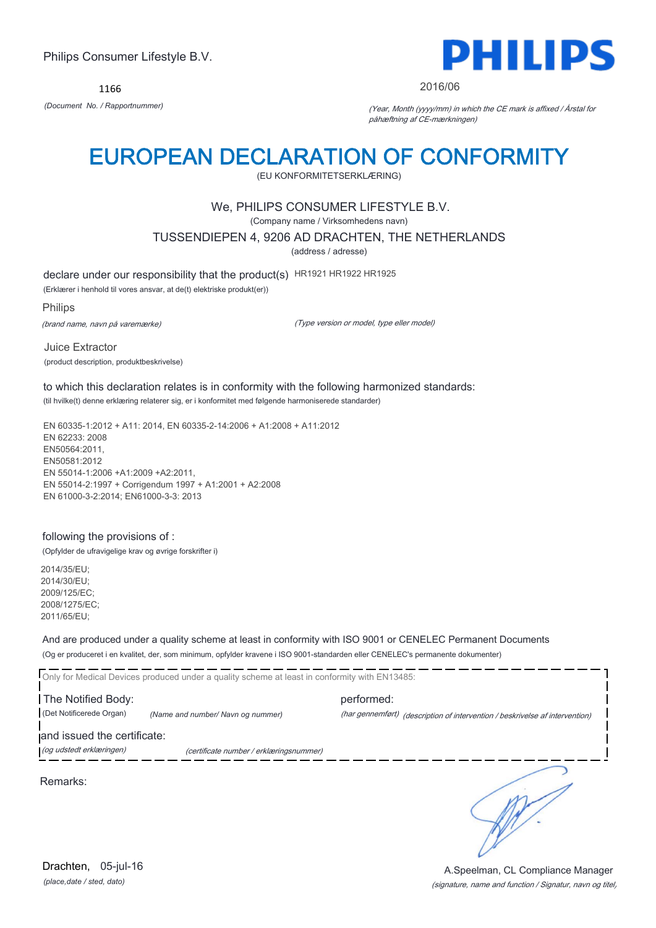1166



#### 2016/06

*(Document No. / Rapportnummer)* (Year, Month (yyyy/mm) in which the CE mark is affixed / Årstal for påhæftning af CE-mærkningen)

## EUROPEAN DECLARATION OF CONFORMITY

(EU KONFORMITETSERKLÆRING)

## We, PHILIPS CONSUMER LIFESTYLE B.V.

(Company name / Virksomhedens navn)

TUSSENDIEPEN 4, 9206 AD DRACHTEN, THE NETHERLANDS

(address / adresse)

declare under our responsibility that the product(s) HR1921 HR1922 HR1925

(Erklærer i henhold til vores ansvar, at de(t) elektriske produkt(er))

Philips

(brand name, navn på varemærke)

(Type version or model, type eller model)

Juice Extractor (product description, produktbeskrivelse)

to which this declaration relates is in conformity with the following harmonized standards: (til hvilke(t) denne erklæring relaterer sig, er i konformitet med følgende harmoniserede standarder)

EN 60335-1:2012 + A11: 2014, EN 60335-2-14:2006 + A1:2008 + A11:2012 EN 62233: 2008 EN50564:2011, EN50581:2012 EN 55014-1:2006 +A1:2009 +A2:2011, EN 55014-2:1997 + Corrigendum 1997 + A1:2001 + A2:2008 EN 61000-3-2:2014; EN61000-3-3: 2013

### following the provisions of :

(Opfylder de ufravigelige krav og øvrige forskrifter i)

2014/35/EU; 2014/30/EU; 2009/125/EC; 2008/1275/EC; 2011/65/EU;

And are produced under a quality scheme at least in conformity with ISO 9001 or CENELEC Permanent Documents

(Og er produceret i en kvalitet, der, som minimum, opfylder kravene i ISO 9001-standarden eller CENELEC's permanente dokumenter)

Only for Medical Devices produced under a quality scheme at least in conformity with EN13485:

The Notified Body: example and performed: (Det Notificerede Organ) *(Name and number/ Navn og nummer)* (har gennemført) (description of intervention / beskrivelse af intervention)

and issued the certificate:

(og udstedt erklæringen) (certificate number / erklæringsnummer)

Remarks:

*(place,date / sted, dato)* Drachten, 05-jul-16

## (signature, name and function / Signatur, navn og titel) A.Speelman, CL Compliance Manager

٦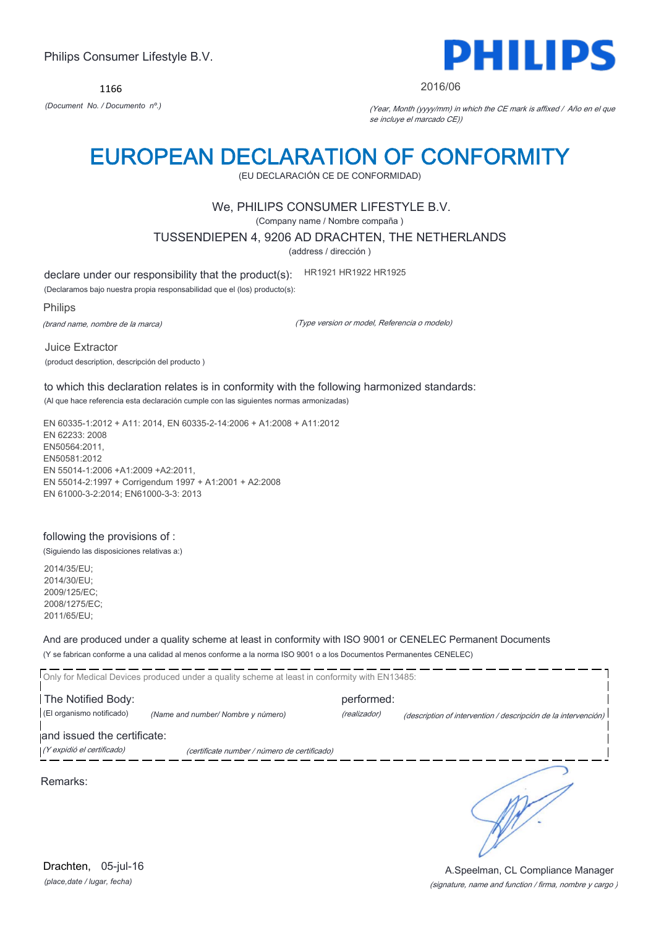1166



#### 2016/06

*(Document No. / Documento nº.)* (Year, Month (yyyy/mm) in which the CE mark is affixed / Año en el que se incluye el marcado CE))

## EUROPEAN DECLARATION OF CONFORMITY

(EU DECLARACIÓN CE DE CONFORMIDAD)

## We, PHILIPS CONSUMER LIFESTYLE B.V.

(Company name / Nombre compaña )

TUSSENDIEPEN 4, 9206 AD DRACHTEN, THE NETHERLANDS

(address / dirección )

declare under our responsibility that the product(s): HR1921 HR1922 HR1925

(Declaramos bajo nuestra propia responsabilidad que el (los) producto(s):

Philips

(brand name, nombre de la marca)

(Type version or model, Referencia o modelo)

Juice Extractor (product description, descripción del producto )

to which this declaration relates is in conformity with the following harmonized standards: (Al que hace referencia esta declaración cumple con las siguientes normas armonizadas)

EN 60335-1:2012 + A11: 2014, EN 60335-2-14:2006 + A1:2008 + A11:2012 EN 62233: 2008 EN50564:2011, EN50581:2012 EN 55014-1:2006 +A1:2009 +A2:2011, EN 55014-2:1997 + Corrigendum 1997 + A1:2001 + A2:2008 EN 61000-3-2:2014; EN61000-3-3: 2013

### following the provisions of :

(Siguiendo las disposiciones relativas a:)

2014/35/EU; 2014/30/EU; 2009/125/EC; 2008/1275/EC; 2011/65/EU;

And are produced under a quality scheme at least in conformity with ISO 9001 or CENELEC Permanent Documents

(Y se fabrican conforme a una calidad al menos conforme a la norma ISO 9001 o a los Documentos Permanentes CENELEC)

|                             | Only for Medical Devices produced under a quality scheme at least in conformity with EN13485: |              |                                                                |
|-----------------------------|-----------------------------------------------------------------------------------------------|--------------|----------------------------------------------------------------|
| The Notified Body:          |                                                                                               | performed:   |                                                                |
| (El organismo notificado)   | (Name and number/ Nombre y número)                                                            | (realizador) | (description of intervention / descripción de la intervención) |
| and issued the certificate: |                                                                                               |              |                                                                |
| (Y expidió el certificado)  | (certificate number / número de certificado)                                                  |              |                                                                |
| Remarks:                    |                                                                                               |              |                                                                |

*(place,date / lugar, fecha)* Drachten, 05-jul-16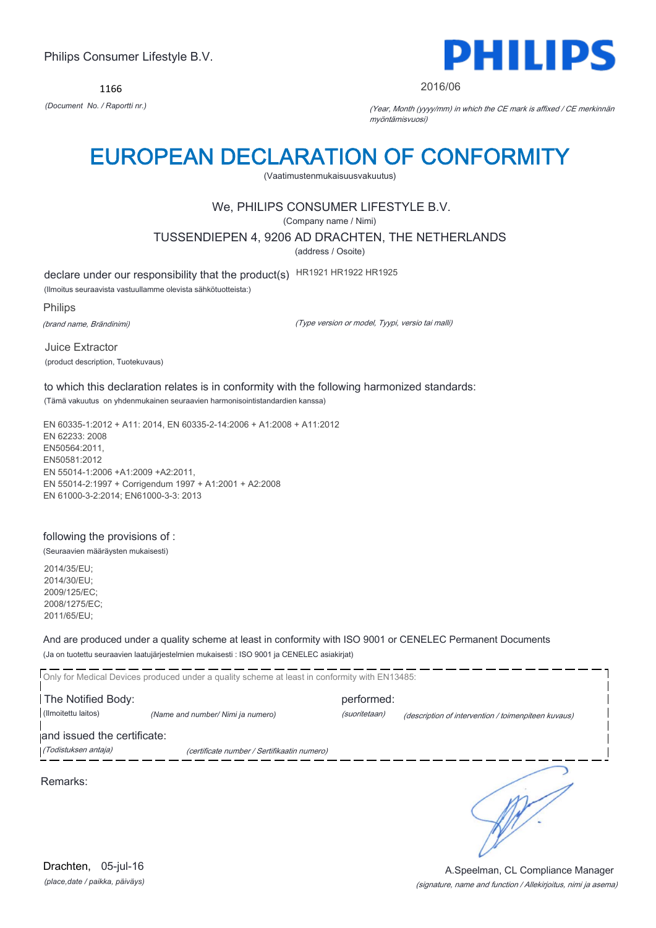1166



#### 2016/06

*(Document No. / Raportti nr.)* (Year, Month (yyyy/mm) in which the CE mark is affixed / CE merkinnän myöntämisvuosi)

## EUROPEAN DECLARATION OF CONFORMITY

(Vaatimustenmukaisuusvakuutus)

## We, PHILIPS CONSUMER LIFESTYLE B.V.

(Company name / Nimi)

TUSSENDIEPEN 4, 9206 AD DRACHTEN, THE NETHERLANDS

(address / Osoite)

declare under our responsibility that the product(s) HR1921 HR1922 HR1925

(Ilmoitus seuraavista vastuullamme olevista sähkötuotteista:)

Philips

(brand name, Brändinimi)

(Type version or model, Tyypi, versio tai malli)

Juice Extractor (product description, Tuotekuvaus)

to which this declaration relates is in conformity with the following harmonized standards: (Tämä vakuutus on yhdenmukainen seuraavien harmonisointistandardien kanssa)

EN 60335-1:2012 + A11: 2014, EN 60335-2-14:2006 + A1:2008 + A11:2012 EN 62233: 2008 EN50564:2011, EN50581:2012 EN 55014-1:2006 +A1:2009 +A2:2011, EN 55014-2:1997 + Corrigendum 1997 + A1:2001 + A2:2008 EN 61000-3-2:2014; EN61000-3-3: 2013

## following the provisions of :

(Seuraavien määräysten mukaisesti)

2014/35/EU; 2014/30/EU; 2009/125/EC; 2008/1275/EC; 2011/65/EU;

And are produced under a quality scheme at least in conformity with ISO 9001 or CENELEC Permanent Documents (Ja on tuotettu seuraavien laatujärjestelmien mukaisesti : ISO 9001 ja CENELEC asiakirjat)

|                             | Only for Medical Devices produced under a quality scheme at least in conformity with EN13485: |               |                                                     |
|-----------------------------|-----------------------------------------------------------------------------------------------|---------------|-----------------------------------------------------|
| The Notified Body:          |                                                                                               | performed:    |                                                     |
| (Ilmoitettu laitos)         | (Name and number/ Nimi ja numero)                                                             | (suoritetaan) | (description of intervention / toimenpiteen kuvaus) |
| and issued the certificate: |                                                                                               |               |                                                     |
| (Todistuksen antaja)        | (certificate number / Sertifikaatin numero)                                                   |               |                                                     |
| Remarks:                    |                                                                                               |               |                                                     |

*(place,date / paikka, päiväys)* Drachten, 05-jul-16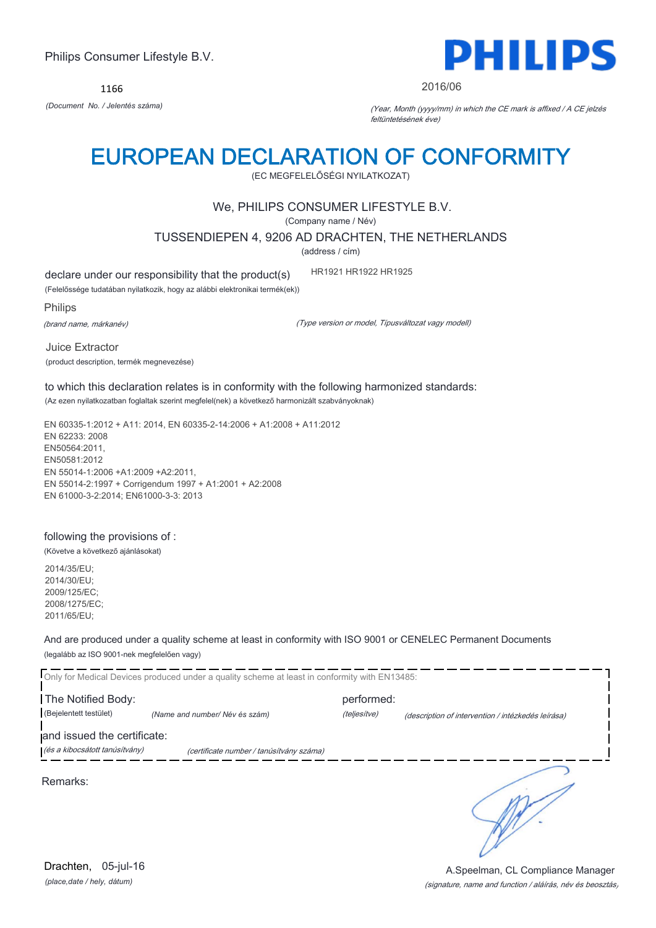

1166

DEITH

#### 2016/06

*(Document No. / Jelentés száma)* (Year, Month (yyyy/mm) in which the CE mark is affixed / A CE jelzés feltüntetésének éve)

## EUROPEAN DECLARATION OF CONFORMITY

(EC MEGFELELŐSÉGI NYILATKOZAT)

### We, PHILIPS CONSUMER LIFESTYLE B.V.

(Company name / Név)

TUSSENDIEPEN 4, 9206 AD DRACHTEN, THE NETHERLANDS

(address / cím)

declare under our responsibility that the product(s) HR1921 HR1922 HR1925

(Felelőssége tudatában nyilatkozik, hogy az alábbi elektronikai termék(ek))

Philips

(brand name, márkanév)

(Type version or model, Típusváltozat vagy modell)

Juice Extractor (product description, termék megnevezése)

to which this declaration relates is in conformity with the following harmonized standards: (Az ezen nyilatkozatban foglaltak szerint megfelel(nek) a következő harmonizált szabványoknak)

EN 60335-1:2012 + A11: 2014, EN 60335-2-14:2006 + A1:2008 + A11:2012 EN 62233: 2008 EN50564:2011, EN50581:2012 EN 55014-1:2006 +A1:2009 +A2:2011, EN 55014-2:1997 + Corrigendum 1997 + A1:2001 + A2:2008 EN 61000-3-2:2014; EN61000-3-3: 2013

following the provisions of :

(Követve a következő ajánlásokat) 2014/35/EU;

2014/30/EU; 2009/125/EC; 2008/1275/EC; 2011/65/EU;

And are produced under a quality scheme at least in conformity with ISO 9001 or CENELEC Permanent Documents (legalább az ISO 9001-nek megfelelően vagy)

Only for Medical Devices produced under a quality scheme at least in conformity with EN13485: The Notified Body: performed: (Bejelentett testület) *(Name and number/ Név és szám)* (teljesítve) (description of intervention / intézkedés leírása) and issued the certificate: (és a kibocsátott tanúsítvány) (certificate number / tanúsítvány száma) ٦ Remarks:

*(place,date / hely, dátum)* Drachten, 05-jul-16

#### (signature, name and function / aláírás, név és beosztás) A.Speelman, CL Compliance Manager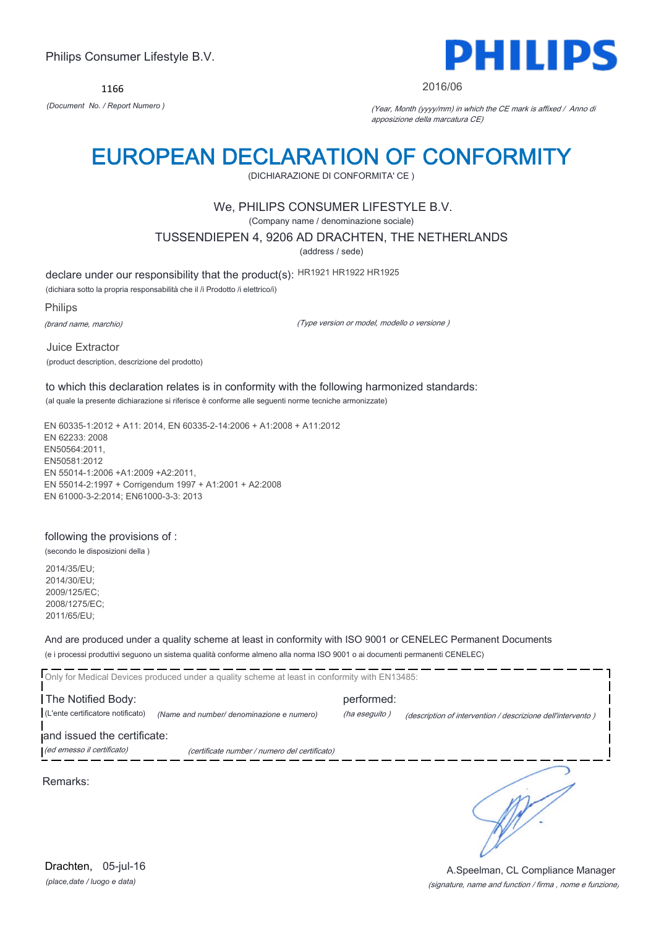1166



#### 2016/06

*(Document No. / Report Numero )* (Year, Month (yyyy/mm) in which the CE mark is affixed / Anno di apposizione della marcatura CE)

## EUROPEAN DECLARATION OF CONFORMITY

(DICHIARAZIONE DI CONFORMITA' CE )

## We, PHILIPS CONSUMER LIFESTYLE B.V.

(Company name / denominazione sociale)

TUSSENDIEPEN 4, 9206 AD DRACHTEN, THE NETHERLANDS

(address / sede)

declare under our responsibility that the product(s): HR1921 HR1922 HR1925

(dichiara sotto la propria responsabilità che il /i Prodotto /i elettrico/i)

Philips

(brand name, marchio)

(Type version or model, modello o versione )

Juice Extractor (product description, descrizione del prodotto)

to which this declaration relates is in conformity with the following harmonized standards: (al quale la presente dichiarazione si riferisce è conforme alle seguenti norme tecniche armonizzate)

EN 60335-1:2012 + A11: 2014, EN 60335-2-14:2006 + A1:2008 + A11:2012 EN 62233: 2008 EN50564:2011, EN50581:2012 EN 55014-1:2006 +A1:2009 +A2:2011, EN 55014-2:1997 + Corrigendum 1997 + A1:2001 + A2:2008 EN 61000-3-2:2014; EN61000-3-3: 2013

### following the provisions of :

(secondo le disposizioni della )

2014/35/EU; 2014/30/EU; 2009/125/EC; 2008/1275/EC; 2011/65/EU;

And are produced under a quality scheme at least in conformity with ISO 9001 or CENELEC Permanent Documents

(e i processi produttivi seguono un sistema qualità conforme almeno alla norma ISO 9001 o ai documenti permanenti CENELEC)

|                                                         | Only for Medical Devices produced under a quality scheme at least in conformity with EN13485: |                             |                                                             |
|---------------------------------------------------------|-----------------------------------------------------------------------------------------------|-----------------------------|-------------------------------------------------------------|
| The Notified Body:<br>(L'ente certificatore notificato) | (Name and number/ denominazione e numero)                                                     | performed:<br>(ha eseguito) | (description of intervention / descrizione dell'intervento) |
| and issued the certificate:                             |                                                                                               |                             |                                                             |
| (ed emesso il certificato)                              | (certificate number / numero del certificato)                                                 |                             |                                                             |
|                                                         |                                                                                               |                             |                                                             |

Remarks:

*(place,date / luogo e data)* Drachten, 05-jul-16

#### (signature, name and function / firma , nome e funzione) A.Speelman, CL Compliance Manager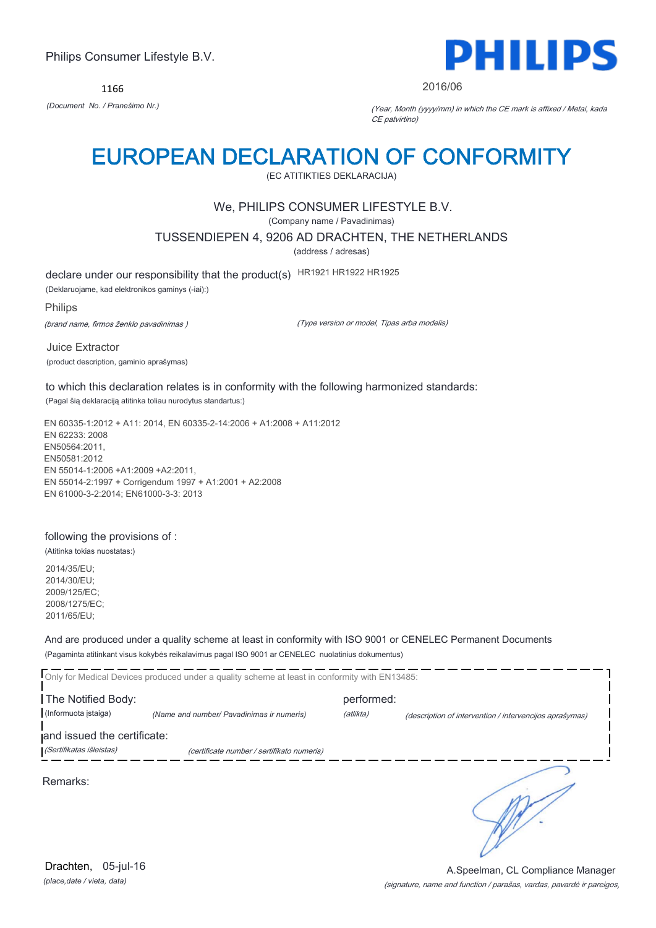1166



2016/06

*(Document No. / Pranešimo Nr.)* (Year, Month (yyyy/mm) in which the CE mark is affixed / Metai, kada CE patvirtino)

## EUROPEAN DECLARATION OF CONFORMITY

(EC ATITIKTIES DEKLARACIJA)

## We, PHILIPS CONSUMER LIFESTYLE B.V.

(Company name / Pavadinimas)

TUSSENDIEPEN 4, 9206 AD DRACHTEN, THE NETHERLANDS

(address / adresas)

declare under our responsibility that the product(s) HR1921 HR1922 HR1925

(Deklaruojame, kad elektronikos gaminys (-iai):)

### Philips

(brand name, firmos ženklo pavadinimas )

(Type version or model, Tipas arba modelis)

Juice Extractor (product description, gaminio aprašymas)

to which this declaration relates is in conformity with the following harmonized standards: (Pagal šią deklaraciją atitinka toliau nurodytus standartus:)

EN 60335-1:2012 + A11: 2014, EN 60335-2-14:2006 + A1:2008 + A11:2012 EN 62233: 2008 EN50564:2011, EN50581:2012 EN 55014-1:2006 +A1:2009 +A2:2011, EN 55014-2:1997 + Corrigendum 1997 + A1:2001 + A2:2008 EN 61000-3-2:2014; EN61000-3-3: 2013

### following the provisions of :

(Atitinka tokias nuostatas:)

2014/35/EU; 2014/30/EU; 2009/125/EC; 2008/1275/EC; 2011/65/EU;

And are produced under a quality scheme at least in conformity with ISO 9001 or CENELEC Permanent Documents

(Pagaminta atitinkant visus kokybės reikalavimus pagal ISO 9001 ar CENELEC nuolatinius dokumentus)

|                                                         | Only for Medical Devices produced under a quality scheme at least in conformity with EN13485: |            |                                                         |
|---------------------------------------------------------|-----------------------------------------------------------------------------------------------|------------|---------------------------------------------------------|
| The Notified Body:                                      |                                                                                               | performed: |                                                         |
| (Informuota istaiga)                                    | (Name and number/ Pavadinimas ir numeris)                                                     | (atlikta)  | (description of intervention / intervencijos aprašymas) |
| and issued the certificate:<br>(Sertifikatas išleistas) | (certificate number / sertifikato numeris)                                                    |            |                                                         |
| Remarks:                                                |                                                                                               |            |                                                         |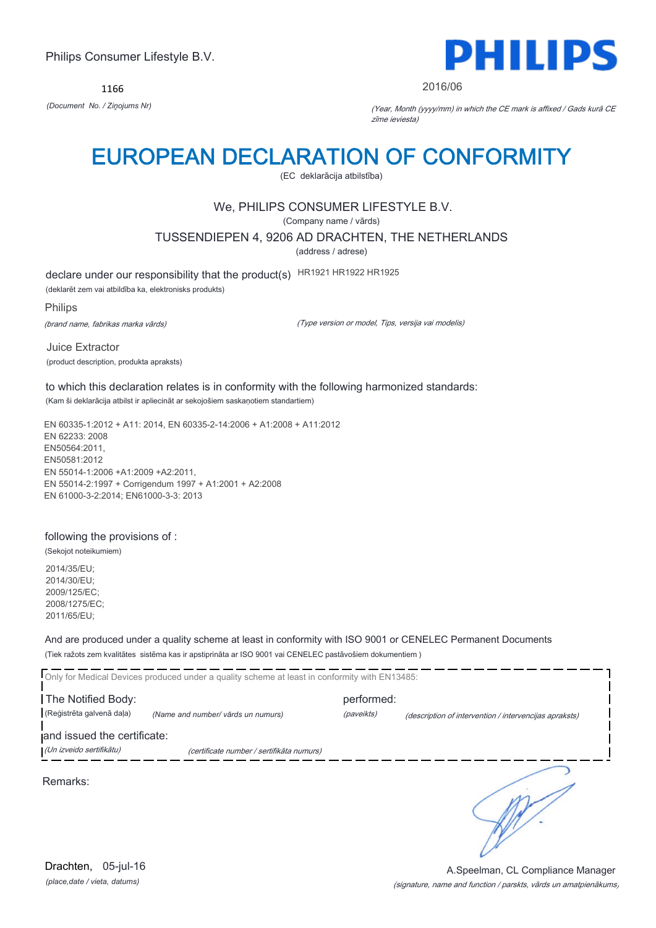1166



#### 2016/06

*(Document No. / Ziņojums Nr)* (Year, Month (yyyy/mm) in which the CE mark is affixed / Gads kurā CE zīme ieviesta)

## EUROPEAN DECLARATION OF CONFORMITY

(EC deklarācija atbilstība)

## We, PHILIPS CONSUMER LIFESTYLE B.V.

(Company name / vārds)

TUSSENDIEPEN 4, 9206 AD DRACHTEN, THE NETHERLANDS

(address / adrese)

declare under our responsibility that the product(s) HR1921 HR1922 HR1925

(deklarēt zem vai atbildība ka, elektronisks produkts)

Philips

(brand name, fabrikas marka vārds)

(Type version or model, Tips, versija vai modelis)

Juice Extractor (product description, produkta apraksts)

to which this declaration relates is in conformity with the following harmonized standards: (Kam ši deklarācija atbilst ir apliecināt ar sekojošiem saskaņotiem standartiem)

EN 60335-1:2012 + A11: 2014, EN 60335-2-14:2006 + A1:2008 + A11:2012 EN 62233: 2008 EN50564:2011, EN50581:2012 EN 55014-1:2006 +A1:2009 +A2:2011, EN 55014-2:1997 + Corrigendum 1997 + A1:2001 + A2:2008 EN 61000-3-2:2014; EN61000-3-3: 2013

#### following the provisions of :

(Sekojot noteikumiem)

2014/35/EU; 2014/30/EU; 2009/125/EC; 2008/1275/EC; 2011/65/EU;

And are produced under a quality scheme at least in conformity with ISO 9001 or CENELEC Permanent Documents

(Tiek ražots zem kvalitātes sistēma kas ir apstiprināta ar ISO 9001 vai CENELEC pastāvošiem dokumentiem )

|                                                         | Only for Medical Devices produced under a quality scheme at least in conformity with EN13485: |            |                                                        |
|---------------------------------------------------------|-----------------------------------------------------------------------------------------------|------------|--------------------------------------------------------|
| The Notified Body:                                      |                                                                                               | performed: |                                                        |
| (Reģistrēta galvenā daļa)                               | (Name and number/ vārds un numurs)                                                            | (paveikts) | (description of intervention / intervencijas apraksts) |
| and issued the certificate:<br>(Un izveido sertifikātu) | (certificate number / sertifikāta numurs)                                                     |            |                                                        |
| Remarks:                                                |                                                                                               |            |                                                        |

*(place,date / vieta, datums)* Drachten, 05-jul-16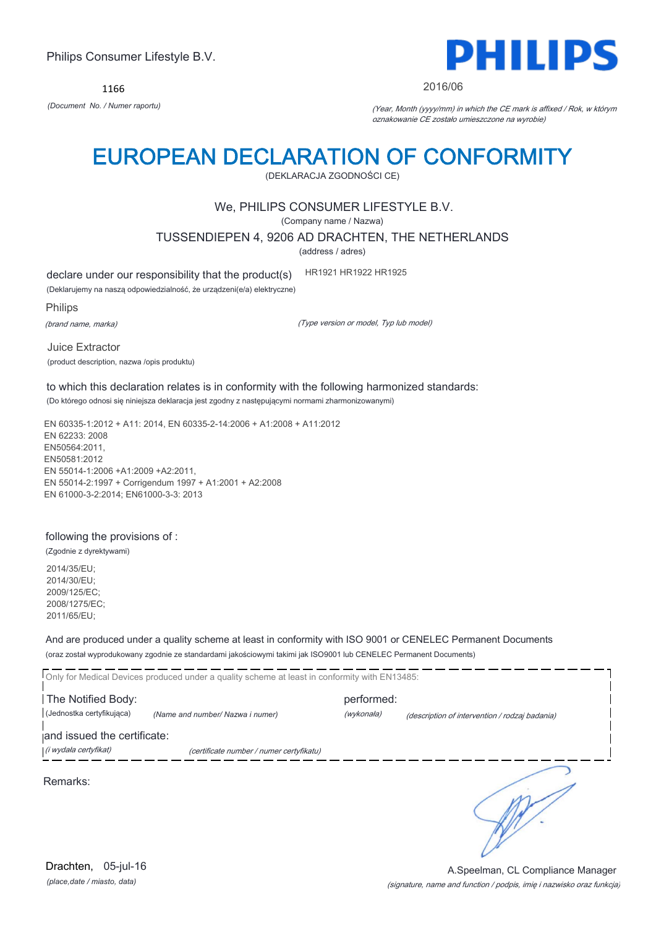1166



#### 2016/06

*(Document No. / Numer raportu)* (Year, Month (yyyy/mm) in which the CE mark is affixed / Rok, w którym oznakowanie CE zostało umieszczone na wyrobie)

## EUROPEAN DECLARATION OF CONFORMITY

(DEKLARACJA ZGODNOŚCI CE)

### We, PHILIPS CONSUMER LIFESTYLE B.V.

(Company name / Nazwa)

TUSSENDIEPEN 4, 9206 AD DRACHTEN, THE NETHERLANDS

(address / adres)

declare under our responsibility that the product(s) HR1921 HR1922 HR1925

(Deklarujemy na naszą odpowiedzialność, że urządzeni(e/a) elektryczne)

Philips

(brand name, marka)

(Type version or model, Typ lub model)

Juice Extractor (product description, nazwa /opis produktu)

to which this declaration relates is in conformity with the following harmonized standards: (Do którego odnosi się niniejsza deklaracja jest zgodny z następującymi normami zharmonizowanymi)

EN 60335-1:2012 + A11: 2014, EN 60335-2-14:2006 + A1:2008 + A11:2012 EN 62233: 2008 EN50564:2011, EN50581:2012 EN 55014-1:2006 +A1:2009 +A2:2011, EN 55014-2:1997 + Corrigendum 1997 + A1:2001 + A2:2008 EN 61000-3-2:2014; EN61000-3-3: 2013

#### following the provisions of :

(Zgodnie z dyrektywami)

2014/35/EU; 2014/30/EU; 2009/125/EC; 2008/1275/EC; 2011/65/EU;

And are produced under a quality scheme at least in conformity with ISO 9001 or CENELEC Permanent Documents

(oraz został wyprodukowany zgodnie ze standardami jakościowymi takimi jak ISO9001 lub CENELEC Permanent Documents)

Only for Medical Devices produced under a quality scheme at least in conformity with EN13485: The Notified Body: example and performed: (Jednostka certyfikująca) *(Name and number/ Nazwa i numer)* (wykonała) (description of intervention / rodzaj badania) and issued the certificate: (i wydała certyfikat) (certificate number / numer certyfikatu) ℩

Remarks: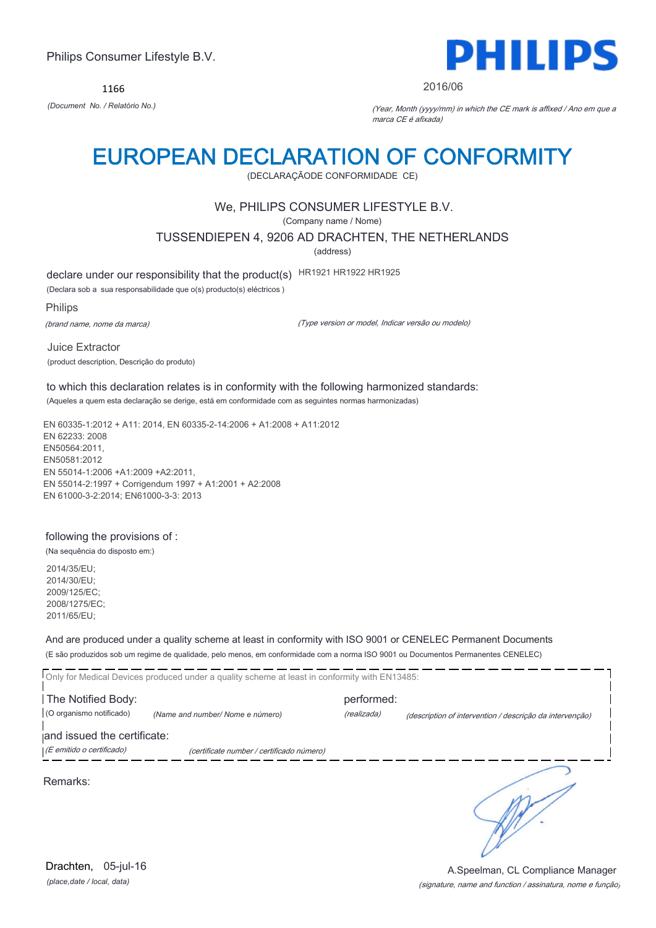1166



#### 2016/06

*(Document No. / Relatório No.)* (Year, Month (yyyy/mm) in which the CE mark is affixed / Ano em que a marca CE é afixada)

## EUROPEAN DECLARATION OF CONFORMITY

(DECLARAÇÃODE CONFORMIDADE CE)

## We, PHILIPS CONSUMER LIFESTYLE B.V.

(Company name / Nome)

TUSSENDIEPEN 4, 9206 AD DRACHTEN, THE NETHERLANDS

(address)

declare under our responsibility that the product(s) HR1921 HR1922 HR1925

(Declara sob a sua responsabilidade que o(s) producto(s) eléctricos )

Philips

(brand name, nome da marca)

(Type version or model, Indicar versão ou modelo)

Juice Extractor (product description, Descrição do produto)

to which this declaration relates is in conformity with the following harmonized standards: (Aqueles a quem esta declaração se derige, está em conformidade com as seguintes normas harmonizadas)

EN 60335-1:2012 + A11: 2014, EN 60335-2-14:2006 + A1:2008 + A11:2012 EN 62233: 2008 EN50564:2011, EN50581:2012 EN 55014-1:2006 +A1:2009 +A2:2011, EN 55014-2:1997 + Corrigendum 1997 + A1:2001 + A2:2008 EN 61000-3-2:2014; EN61000-3-3: 2013

### following the provisions of :

(Na sequência do disposto em:)

2014/35/EU; 2014/30/EU; 2009/125/EC; 2008/1275/EC; 2011/65/EU;

And are produced under a quality scheme at least in conformity with ISO 9001 or CENELEC Permanent Documents

(E são produzidos sob um regime de qualidade, pelo menos, em conformidade com a norma ISO 9001 ou Documentos Permanentes CENELEC)

Only for Medical Devices produced under a quality scheme at least in conformity with EN13485: The Notified Body: example and performed: (O organismo notificado) *(Name and number/ Nome e número)* (realizada) (description of intervention / descrição da intervenção) and issued the certificate: (E emitido o certificado) (certificate number / certificado número)

Remarks:

*(place,date / local, data)* Drachten, 05-jul-16

#### (signature, name and function / assinatura, nome e função) A.Speelman, CL Compliance Manager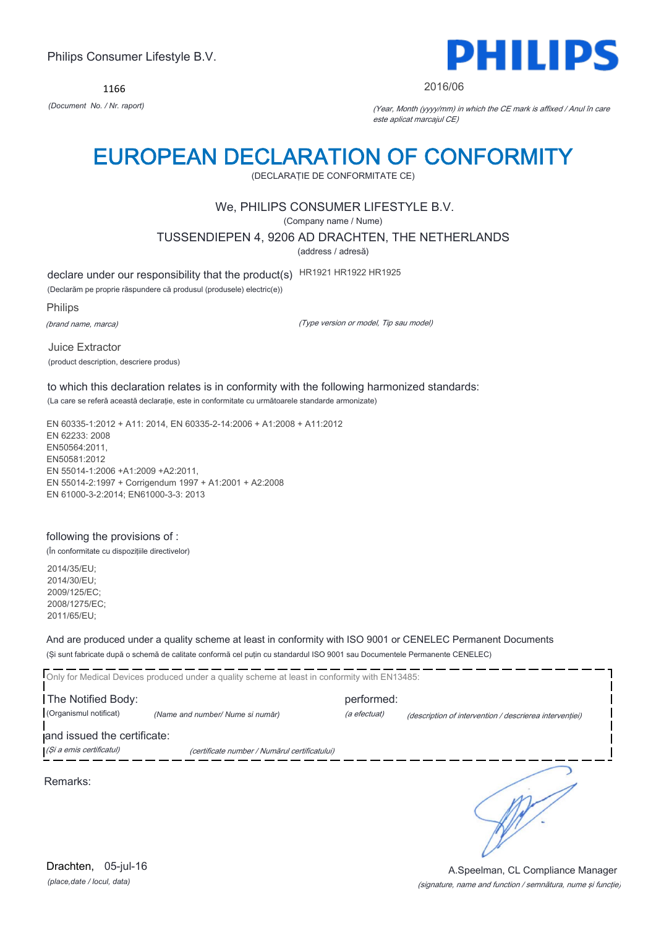1166



#### 2016/06

*(Document No. / Nr. raport)* (Year, Month (yyyy/mm) in which the CE mark is affixed / Anul în care este aplicat marcajul CE)

## EUROPEAN DECLARATION OF CONFORMITY

(DECLARAŢIE DE CONFORMITATE CE)

## We, PHILIPS CONSUMER LIFESTYLE B.V.

(Company name / Nume)

TUSSENDIEPEN 4, 9206 AD DRACHTEN, THE NETHERLANDS

(address / adresă)

declare under our responsibility that the product(s) HR1921 HR1922 HR1925

(Declarăm pe proprie răspundere că produsul (produsele) electric(e))

Philips

(brand name, marca)

(Type version or model, Tip sau model)

Juice Extractor (product description, descriere produs)

to which this declaration relates is in conformity with the following harmonized standards: (La care se referă această declaraţie, este in conformitate cu următoarele standarde armonizate)

EN 60335-1:2012 + A11: 2014, EN 60335-2-14:2006 + A1:2008 + A11:2012 EN 62233: 2008 EN50564:2011, EN50581:2012 EN 55014-1:2006 +A1:2009 +A2:2011, EN 55014-2:1997 + Corrigendum 1997 + A1:2001 + A2:2008 EN 61000-3-2:2014; EN61000-3-3: 2013

### following the provisions of :

(În conformitate cu dispoziţiile directivelor)

2014/35/EU; 2014/30/EU; 2009/125/EC; 2008/1275/EC; 2011/65/EU;

And are produced under a quality scheme at least in conformity with ISO 9001 or CENELEC Permanent Documents

(Şi sunt fabricate după o schemă de calitate conformă cel puţin cu standardul ISO 9001 sau Documentele Permanente CENELEC)

|                             | Only for Medical Devices produced under a quality scheme at least in conformity with EN13485: |              |                                                         |  |
|-----------------------------|-----------------------------------------------------------------------------------------------|--------------|---------------------------------------------------------|--|
| The Notified Body:          |                                                                                               | performed:   |                                                         |  |
| (Organismul notificat)      | (Name and number/ Nume si număr)                                                              | (a efectuat) | (description of intervention / descrierea interventiei) |  |
| and issued the certificate: |                                                                                               |              |                                                         |  |
| (Și a emis certificatul)    | (certificate number / Numărul certificatului)                                                 |              |                                                         |  |
|                             |                                                                                               |              |                                                         |  |

Remarks:

*(place,date / locul, data)* Drachten, 05-jul-16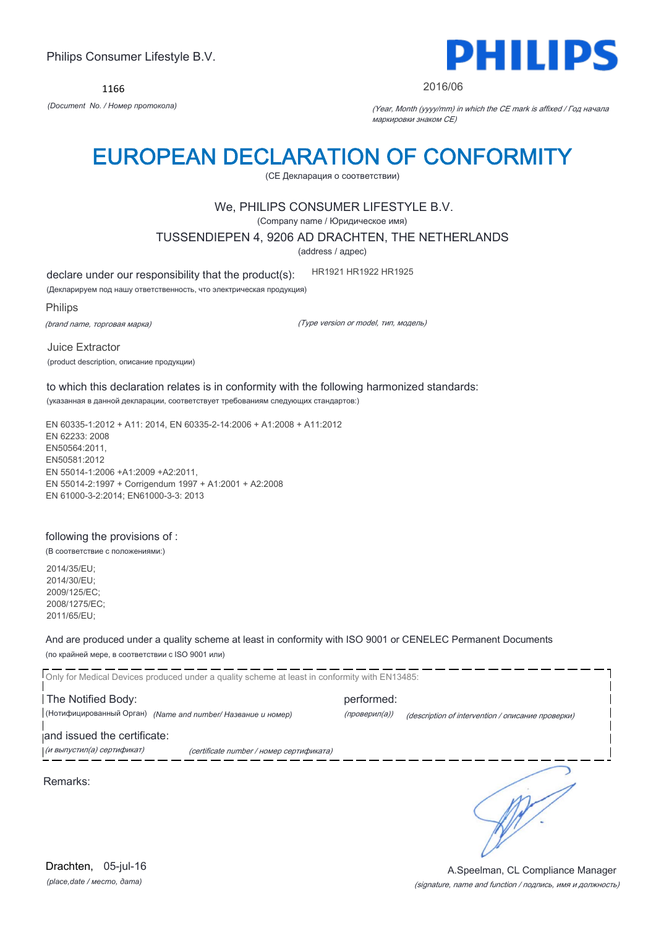1166



#### 2016/06

*(Document No. / Номер протокола)* (Year, Month (yyyy/mm) in which the CE mark is affixed / Год начала маркировки знаком CE)

## EUROPEAN DECLARATION OF CONFORMITY

(CE Декларация о соответствии)

### We, PHILIPS CONSUMER LIFESTYLE B.V.

(Company name / Юридическое имя)

TUSSENDIEPEN 4, 9206 AD DRACHTEN, THE NETHERLANDS

(address / адрес)

declare under our responsibility that the product(s): HR1921 HR1922 HR1925

(Декларируем под нашу ответственность, что электрическая продукция)

Philips

(brand name, торговая марка)

(Type version or model, тип, модель)

Juice Extractor (product description, описание продукции)

to which this declaration relates is in conformity with the following harmonized standards: (указанная в данной декларации, соответствует требованиям следующих стандартов:)

EN 60335-1:2012 + A11: 2014, EN 60335-2-14:2006 + A1:2008 + A11:2012 EN 62233: 2008 EN50564:2011, EN50581:2012 EN 55014-1:2006 +A1:2009 +A2:2011, EN 55014-2:1997 + Corrigendum 1997 + A1:2001 + A2:2008 EN 61000-3-2:2014; EN61000-3-3: 2013

### following the provisions of :

(В соответствие с положениями:)

2014/35/EU; 2014/30/EU; 2009/125/EC; 2008/1275/EC; 2011/65/EU;

And are produced under a quality scheme at least in conformity with ISO 9001 or CENELEC Permanent Documents

(по крайней мере, в соответствии с ISO 9001 или)

Only for Medical Devices produced under a quality scheme at least in conformity with EN13485: The Notified Body: example and performed: (Нотифицированный Орган) *(Name and number/ Название и номер)* (проверил(а)) (description of intervention / описание проверки) and issued the certificate: (и выпустил(а) сертификат) (certificate number / номер сертификата) ℩ Remarks:

*(place,date / место, дата)* Drachten, 05-jul-16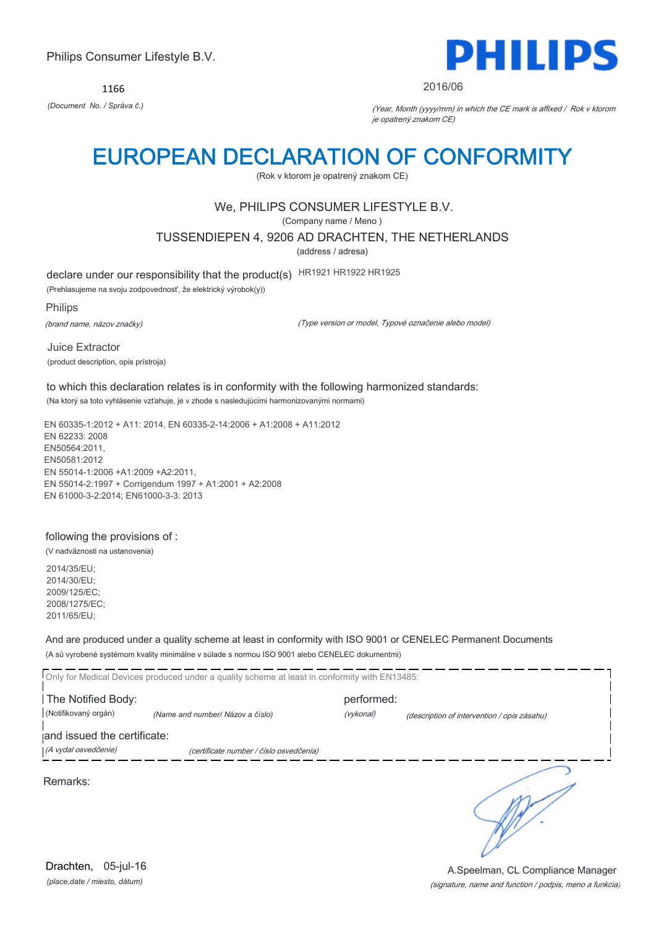1166



#### 2016/06

*(Document No. / Správa č.)* (Year, Month (yyyy/mm) in which the CE mark is affixed / Rok v ktorom je opatrený znakom CE)

## EUROPEAN DECLARATION OF CONFORMITY

(Rok v ktorom je opatrený znakom CE)

## We, PHILIPS CONSUMER LIFESTYLE B.V.

(Company name / Meno )

TUSSENDIEPEN 4, 9206 AD DRACHTEN, THE NETHERLANDS

(address / adresa)

declare under our responsibility that the product(s) HR1921 HR1922 HR1925

(Prehlasujeme na svoju zodpovednosť, že elektrický výrobok(y))

Philips

(brand name, názov značky)

(Type version or model, Typové označenie alebo model)

Juice Extractor (product description, opis prístroja)

to which this declaration relates is in conformity with the following harmonized standards: (Na ktorý sa toto vyhlásenie vzťahuje, je v zhode s nasledujúcimi harmonizovanými normami)

EN 60335-1:2012 + A11: 2014, EN 60335-2-14:2006 + A1:2008 + A11:2012 EN 62233: 2008 EN50564:2011, EN50581:2012 EN 55014-1:2006 +A1:2009 +A2:2011, EN 55014-2:1997 + Corrigendum 1997 + A1:2001 + A2:2008 EN 61000-3-2:2014; EN61000-3-3: 2013

### following the provisions of :

(V nadväznosti na ustanovenia)

2014/35/EU; 2014/30/EU; 2009/125/EC; 2008/1275/EC; 2011/65/EU;

And are produced under a quality scheme at least in conformity with ISO 9001 or CENELEC Permanent Documents

(A sú vyrobené systémom kvality minimálne v súlade s normou ISO 9001 alebo CENELEC dokumentmi)

Only for Medical Devices produced under a quality scheme at least in conformity with EN13485: The Notified Body: example and performed: (Notifikovaný orgán) *(Name and number/ Názov a číslo)* (vykonal) (description of intervention / opis zásahu) and issued the certificate: (A vydal osvedčenie) (certificate number / číslo osvedčenia) ∍ Remarks:

*(place,date / miesto, dátum)* Drachten, 05-jul-16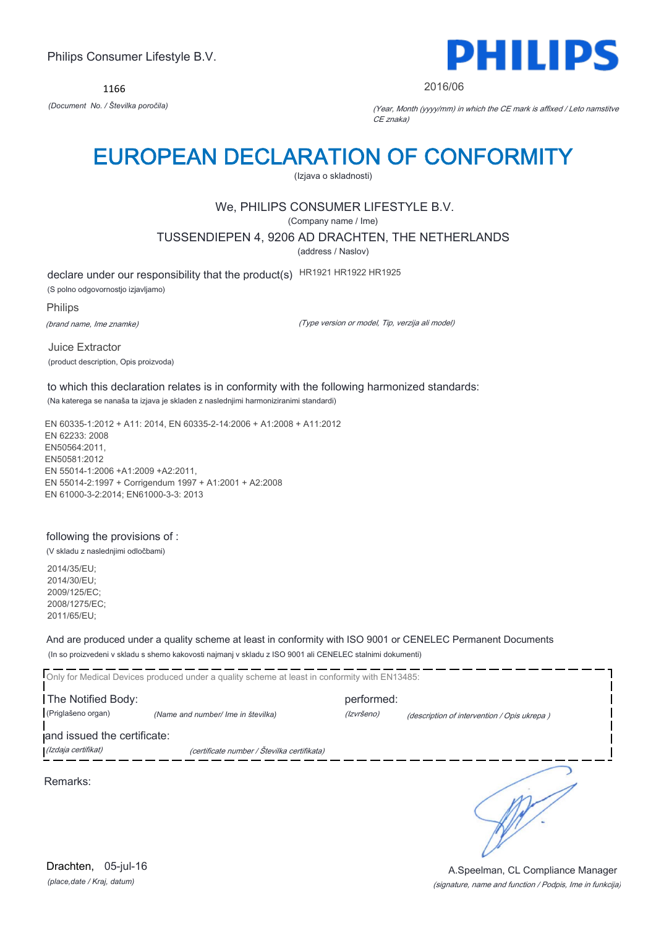1166



#### 2016/06

*(Document No. / Številka poročila)* (Year, Month (yyyy/mm) in which the CE mark is affixed / Leto namstitve CE znaka)

## EUROPEAN DECLARATION OF CONFORMITY

(Izjava o skladnosti)

## We, PHILIPS CONSUMER LIFESTYLE B.V.

(Company name / Ime)

TUSSENDIEPEN 4, 9206 AD DRACHTEN, THE NETHERLANDS

(address / Naslov)

declare under our responsibility that the product(s) HR1921 HR1922 HR1925 (S polno odgovornostjo izjavljamo)

Philips

(brand name, Ime znamke)

(Type version or model, Tip, verzija ali model)

Juice Extractor (product description, Opis proizvoda)

to which this declaration relates is in conformity with the following harmonized standards: (Na katerega se nanaša ta izjava je skladen z naslednjimi harmoniziranimi standardi)

EN 60335-1:2012 + A11: 2014, EN 60335-2-14:2006 + A1:2008 + A11:2012 EN 62233: 2008 EN50564:2011, EN50581:2012 EN 55014-1:2006 +A1:2009 +A2:2011, EN 55014-2:1997 + Corrigendum 1997 + A1:2001 + A2:2008 EN 61000-3-2:2014; EN61000-3-3: 2013

### following the provisions of :

(V skladu z naslednjimi odločbami)

2014/35/EU; 2014/30/EU; 2009/125/EC; 2008/1275/EC; 2011/65/EU;

And are produced under a quality scheme at least in conformity with ISO 9001 or CENELEC Permanent Documents

(In so proizvedeni v skladu s shemo kakovosti najmanj v skladu z ISO 9001 ali CENELEC stalnimi dokumenti)

Only for Medical Devices produced under a quality scheme at least in conformity with EN13485: The Notified Body: performed: (Priglašeno organ) *(Name and number/ Ime in številka)* (Izvršeno) (description of intervention / Opis ukrepa ) and issued the certificate: (Izdaja certifikat) (certificate number / Številka certifikata) ∍

Remarks:

*(place,date / Kraj, datum)* Drachten, 05-jul-16

### (signature, name and function / Podpis, Ime in funkcija) A.Speelman, CL Compliance Manager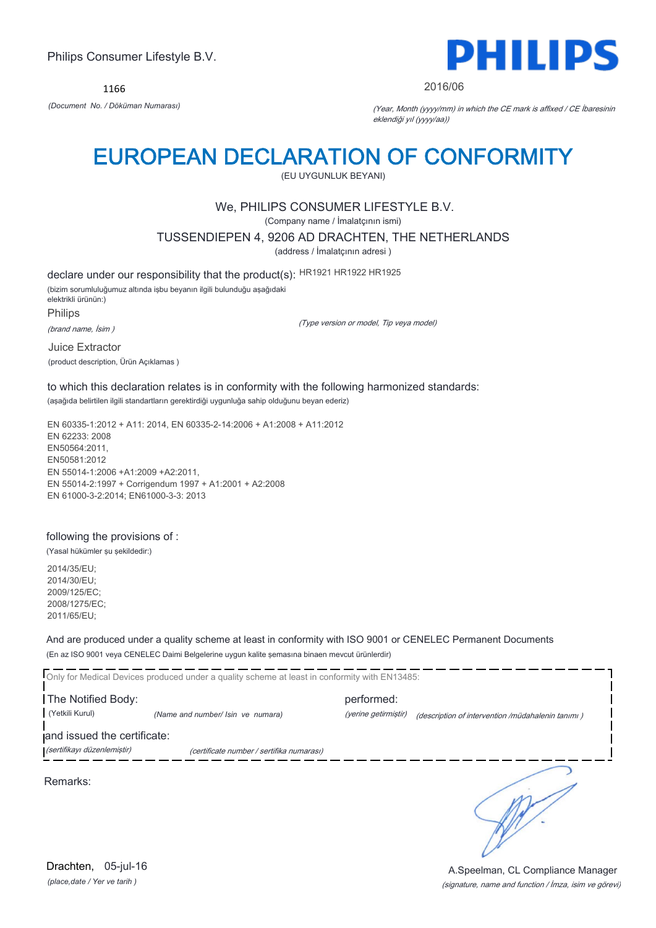1166



#### 2016/06

*(Document No. / Döküman Numarası)* (Year, Month (yyyy/mm) in which the CE mark is affixed / CE İbaresinin eklendiği yıl (yyyy/aa))

## EUROPEAN DECLARATION OF CONFORMITY

(EU UYGUNLUK BEYANI)

## We, PHILIPS CONSUMER LIFESTYLE B.V.

(Company name / İmalatçının ismi)

TUSSENDIEPEN 4, 9206 AD DRACHTEN, THE NETHERLANDS

(address / İmalatçının adresi )

declare under our responsibility that the product(s): HR1921 HR1922 HR1925 (bizim sorumluluğumuz altında işbu beyanın ilgili bulunduğu aşağıdaki elektrikli ürünün:) Philips (brand name, İsim ) (Type version or model, Tip veya model)

Juice Extractor (product description, Ürün Açıklamas )

to which this declaration relates is in conformity with the following harmonized standards: (aşağıda belirtilen ilgili standartların gerektirdiği uygunluğa sahip olduğunu beyan ederiz)

EN 60335-1:2012 + A11: 2014, EN 60335-2-14:2006 + A1:2008 + A11:2012 EN 62233: 2008 EN50564:2011, EN50581:2012 EN 55014-1:2006 +A1:2009 +A2:2011, EN 55014-2:1997 + Corrigendum 1997 + A1:2001 + A2:2008 EN 61000-3-2:2014; EN61000-3-3: 2013

### following the provisions of :

(Yasal hükümler şu şekildedir:)

2014/35/EU; 2014/30/EU; 2009/125/EC; 2008/1275/EC; 2011/65/EU;

And are produced under a quality scheme at least in conformity with ISO 9001 or CENELEC Permanent Documents (En az ISO 9001 veya CENELEC Daimi Belgelerine uygun kalite şemasına binaen mevcut ürünlerdir)

Only for Medical Devices produced under a quality scheme at least in conformity with EN13485: The Notified Body: performed: (Yetkili Kurul) *(Name and number/ Isin ve numara)* (yerine getirmiştir) (description of intervention /müdahalenin tanımı ) and issued the certificate: (sertifikayı düzenlemiştir) (certificate number / sertifika numarası)

Remarks:

*(place,date / Yer ve tarih )* Drachten, 05-jul-16

## (signature, name and function / İmza, isim ve görevi) A.Speelman, CL Compliance Manager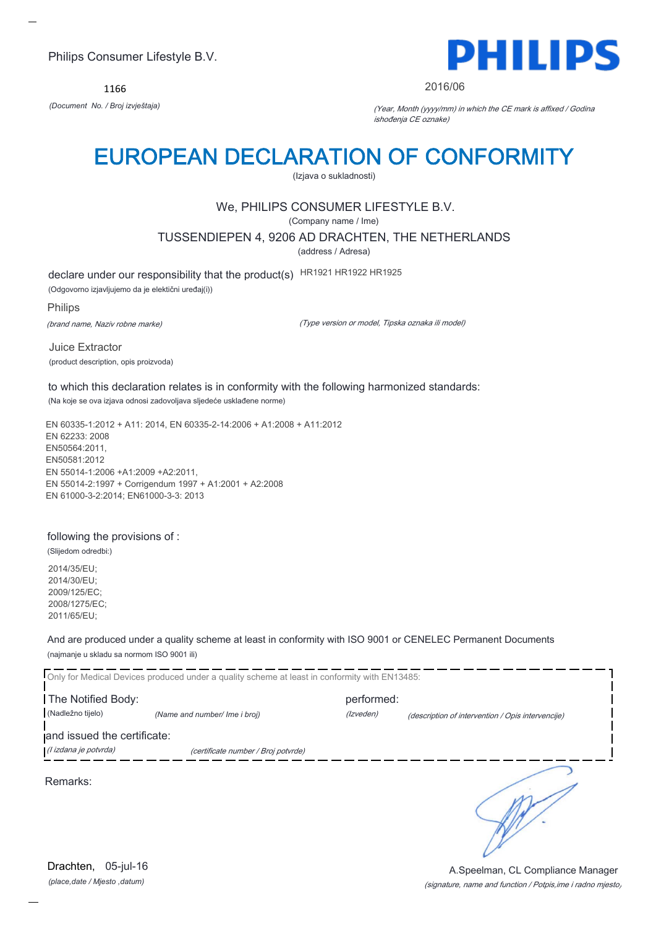1166



#### 2016/06

*(Document No. / Broj izvještaja)* (Year, Month (yyyy/mm) in which the CE mark is affixed / Godina ishođenja CE oznake)

## EUROPEAN DECLARATION OF CONFORMITY

(Izjava o sukladnosti)

## We, PHILIPS CONSUMER LIFESTYLE B.V.

(Company name / Ime)

TUSSENDIEPEN 4, 9206 AD DRACHTEN, THE NETHERLANDS

(address / Adresa)

declare under our responsibility that the product(s) HR1921 HR1922 HR1925

(Odgovorno izjavljujemo da je elektični uređaj(i))

#### Philips

(brand name, Naziv robne marke)

(Type version or model, Tipska oznaka ili model)

Juice Extractor (product description, opis proizvoda)

to which this declaration relates is in conformity with the following harmonized standards: (Na koje se ova izjava odnosi zadovoljava sljedeće usklađene norme)

EN 60335-1:2012 + A11: 2014, EN 60335-2-14:2006 + A1:2008 + A11:2012 EN 62233: 2008 EN50564:2011, EN50581:2012 EN 55014-1:2006 +A1:2009 +A2:2011, EN 55014-2:1997 + Corrigendum 1997 + A1:2001 + A2:2008 EN 61000-3-2:2014; EN61000-3-3: 2013

### following the provisions of :

(Slijedom odredbi:)

2014/35/EU; 2014/30/EU; 2009/125/EC; 2008/1275/EC; 2011/65/EU;

And are produced under a quality scheme at least in conformity with ISO 9001 or CENELEC Permanent Documents (najmanje u skladu sa normom ISO 9001 ili)

Only for Medical Devices produced under a quality scheme at least in conformity with EN13485: The Notified Body: performed: (Nadležno tijelo) *(Name and number/ Ime i broj)* (Izveden) (description of intervention / Opis intervencije) and issued the certificate: (I izdana je potvrda) (certificate number / Broj potvrde) ∍ Remarks:

*(place,date / Mjesto ,datum)* Drachten, 05-jul-16

#### (signature, name and function / Potpis,ime i radno mjesto) A.Speelman, CL Compliance Manager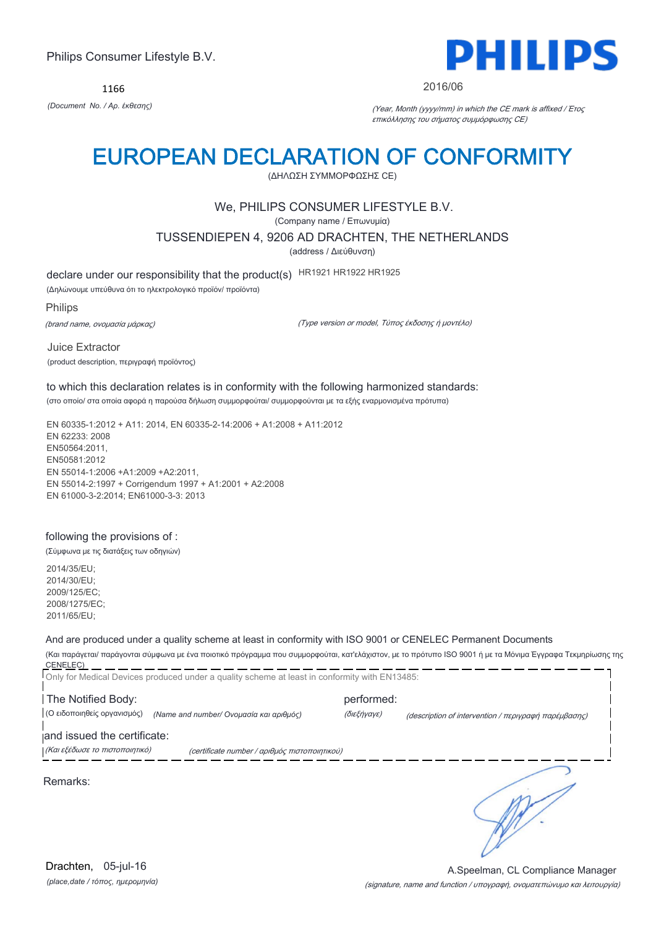1166



#### 2016/06

*(Document No. / Αρ. έκθεσης)* (Year, Month (yyyy/mm) in which the CE mark is affixed / Έτος επικόλλησης του σήματος συμμόρφωσης CE)

## EUROPEAN DECLARATION OF CONFORMITY

(ΔΗΛΩΣΗ ΣΥΜΜΟΡΦΩΣΗΣ CE)

## We, PHILIPS CONSUMER LIFESTYLE B.V.

(Company name / Επωνυμία)

TUSSENDIEPEN 4, 9206 AD DRACHTEN, THE NETHERLANDS

(address / Διεύθυνση)

declare under our responsibility that the product(s) HR1921 HR1922 HR1925

(Δηλώνουμε υπεύθυνα ότι το ηλεκτρολογικό προϊόν/ προϊόντα)

Philips

(brand name, ονομασία μάρκας)

(Type version or model, Τύπος έκδοσης ή μοντέλο)

Juice Extractor (product description, περιγραφή προϊόντος)

to which this declaration relates is in conformity with the following harmonized standards: (στο οποίο/ στα οποία αφορά η παρούσα δήλωση συμμορφούται/ συμμορφούνται με τα εξής εναρμονισμένα πρότυπα)

EN 60335-1:2012 + A11: 2014, EN 60335-2-14:2006 + A1:2008 + A11:2012 EN 62233: 2008 EN50564:2011, EN50581:2012 EN 55014-1:2006 +A1:2009 +A2:2011, EN 55014-2:1997 + Corrigendum 1997 + A1:2001 + A2:2008 EN 61000-3-2:2014; EN61000-3-3: 2013

### following the provisions of :

(Σύμφωνα με τις διατάξεις των οδηγιών)

2014/35/EU; 2014/30/EU; 2009/125/EC; 2008/1275/EC; 2011/65/EU;

And are produced under a quality scheme at least in conformity with ISO 9001 or CENELEC Permanent Documents

(Και παράγεται/ παράγονται σύμφωνα με ένα ποιοτικό πρόγραμμα που συμμορφούται, κατ'ελάχιστον, με το πρότυπο ISO 9001 ή με τα Μόνιμα Έγγραφα Τεκμηρίωσης της CENELEC) Only for Medical Devices produced under a quality scheme at least in conformity with EN13485:

The Notified Body: example and performed: (Ο ειδοποιηθείς οργανισμός) *(Name and number/ Ονομασία και αριθμός)* (διεξήγαγε) (description of intervention / περιγραφή παρέμβασης)

and issued the certificate:

(Και εξέδωσε το πιστοποιητικό) (certificate number / αριθμός πιστοποιητικού)

Remarks:

*(place,date / τόπος, ημερομηνία)* Drachten, 05-jul-16